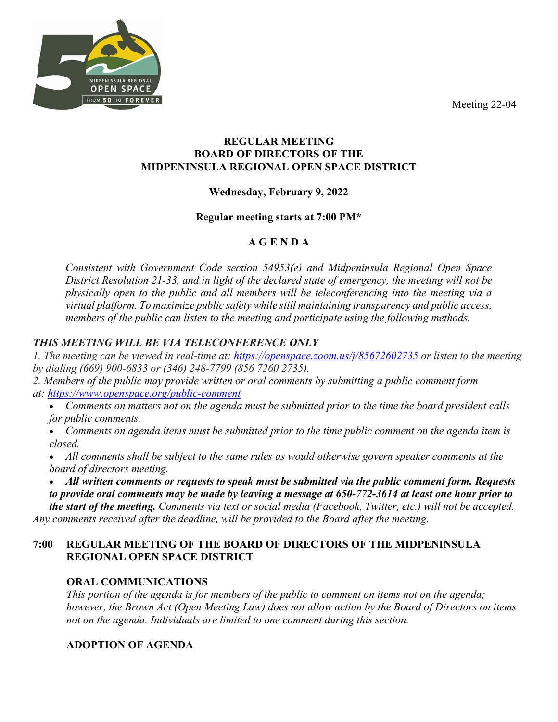Meeting 22-04



#### **REGULAR MEETING BOARD OF DIRECTORS OF THE MIDPENINSULA REGIONAL OPEN SPACE DISTRICT**

## **Wednesday, February 9, 2022**

#### **Regular meeting starts at 7:00 PM\***

# **A G E N D A**

*Consistent with Government Code section 54953(e) and Midpeninsula Regional Open Space District Resolution 21-33, and in light of the declared state of emergency, the meeting will not be physically open to the public and all members will be teleconferencing into the meeting via a virtual platform. To maximize public safety while still maintaining transparency and public access, members of the public can listen to the meeting and participate using the following methods.*

## *THIS MEETING WILL BE VIA TELECONFERENCE ONLY*

*1. The meeting can be viewed in real-time at: <https://openspace.zoom.us/j/85672602735> or listen to the meeting by dialing (669) 900-6833 or (346) 248-7799 (856 7260 2735).*

*2. Members of the public may provide written or oral comments by submitting a public comment form at: <https://www.openspace.org/public-comment>*

- *Comments on matters not on the agenda must be submitted prior to the time the board president calls for public comments.*
- *Comments on agenda items must be submitted prior to the time public comment on the agenda item is closed.*
- *All comments shall be subject to the same rules as would otherwise govern speaker comments at the board of directors meeting.*

• *All written comments or requests to speak must be submitted via the public comment form. Requests to provide oral comments may be made by leaving a message at 650-772-3614 at least one hour prior to the start of the meeting. Comments via text or social media (Facebook, Twitter, etc.) will not be accepted. Any comments received after the deadline, will be provided to the Board after the meeting.*

## **7:00 REGULAR MEETING OF THE BOARD OF DIRECTORS OF THE MIDPENINSULA REGIONAL OPEN SPACE DISTRICT**

## **ORAL COMMUNICATIONS**

*This portion of the agenda is for members of the public to comment on items not on the agenda; however, the Brown Act (Open Meeting Law) does not allow action by the Board of Directors on items not on the agenda. Individuals are limited to one comment during this section.*

## **ADOPTION OF AGENDA**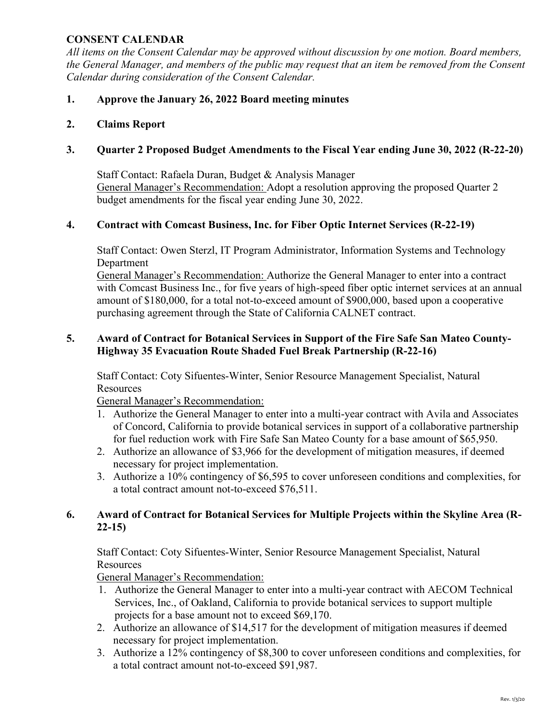#### **CONSENT CALENDAR**

*All items on the Consent Calendar may be approved without discussion by one motion. Board members, the General Manager, and members of the public may request that an item be removed from the Consent Calendar during consideration of the Consent Calendar.*

#### **1. Approve the January 26, 2022 Board meeting minutes**

#### **2. Claims Report**

## **3. Quarter 2 Proposed Budget Amendments to the Fiscal Year ending June 30, 2022 (R-22-20)**

Staff Contact: Rafaela Duran, Budget & Analysis Manager General Manager's Recommendation: Adopt a resolution approving the proposed Quarter 2 budget amendments for the fiscal year ending June 30, 2022.

#### **4. Contract with Comcast Business, Inc. for Fiber Optic Internet Services (R-22-19)**

Staff Contact: Owen Sterzl, IT Program Administrator, Information Systems and Technology Department

General Manager's Recommendation: Authorize the General Manager to enter into a contract with Comcast Business Inc., for five years of high-speed fiber optic internet services at an annual amount of \$180,000, for a total not-to-exceed amount of \$900,000, based upon a cooperative purchasing agreement through the State of California CALNET contract.

#### **5. Award of Contract for Botanical Services in Support of the Fire Safe San Mateo County-Highway 35 Evacuation Route Shaded Fuel Break Partnership (R-22-16)**

Staff Contact: Coty Sifuentes-Winter, Senior Resource Management Specialist, Natural Resources

General Manager's Recommendation:

- 1. Authorize the General Manager to enter into a multi-year contract with Avila and Associates of Concord, California to provide botanical services in support of a collaborative partnership for fuel reduction work with Fire Safe San Mateo County for a base amount of \$65,950.
- 2. Authorize an allowance of \$3,966 for the development of mitigation measures, if deemed necessary for project implementation.
- 3. Authorize a 10% contingency of \$6,595 to cover unforeseen conditions and complexities, for a total contract amount not-to-exceed \$76,511.

#### **6. Award of Contract for Botanical Services for Multiple Projects within the Skyline Area (R-22-15)**

Staff Contact: Coty Sifuentes-Winter, Senior Resource Management Specialist, Natural Resources

General Manager's Recommendation:

- 1. Authorize the General Manager to enter into a multi-year contract with AECOM Technical Services, Inc., of Oakland, California to provide botanical services to support multiple projects for a base amount not to exceed \$69,170.
- 2. Authorize an allowance of \$14,517 for the development of mitigation measures if deemed necessary for project implementation.
- 3. Authorize a 12% contingency of \$8,300 to cover unforeseen conditions and complexities, for a total contract amount not-to-exceed \$91,987.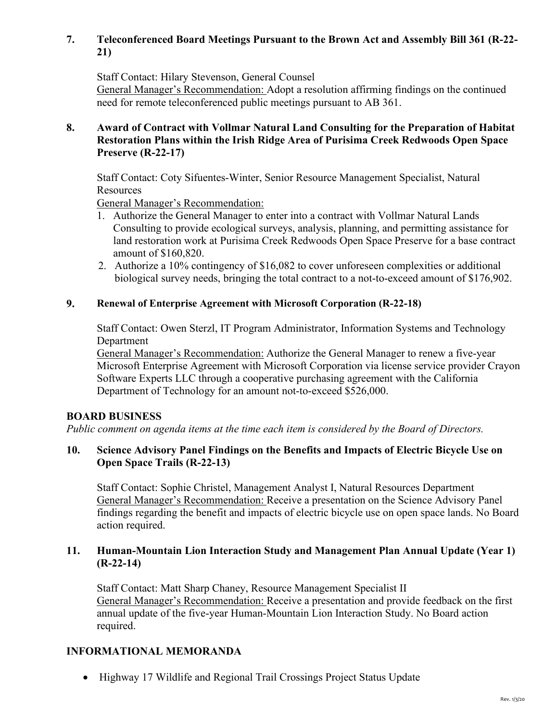## **7. Teleconferenced Board Meetings Pursuant to the Brown Act and Assembly Bill 361 (R-22- 21)**

Staff Contact: Hilary Stevenson, General Counsel

General Manager's Recommendation: Adopt a resolution affirming findings on the continued need for remote teleconferenced public meetings pursuant to AB 361.

#### **8. Award of Contract with Vollmar Natural Land Consulting for the Preparation of Habitat Restoration Plans within the Irish Ridge Area of Purisima Creek Redwoods Open Space Preserve (R-22-17)**

Staff Contact: Coty Sifuentes-Winter, Senior Resource Management Specialist, Natural Resources

General Manager's Recommendation:

- 1. Authorize the General Manager to enter into a contract with Vollmar Natural Lands Consulting to provide ecological surveys, analysis, planning, and permitting assistance for land restoration work at Purisima Creek Redwoods Open Space Preserve for a base contract amount of \$160,820.
- 2. Authorize a 10% contingency of \$16,082 to cover unforeseen complexities or additional biological survey needs, bringing the total contract to a not-to-exceed amount of \$176,902.

## **9. Renewal of Enterprise Agreement with Microsoft Corporation (R-22-18)**

Staff Contact: Owen Sterzl, IT Program Administrator, Information Systems and Technology Department

General Manager's Recommendation: Authorize the General Manager to renew a five-year Microsoft Enterprise Agreement with Microsoft Corporation via license service provider Crayon Software Experts LLC through a cooperative purchasing agreement with the California Department of Technology for an amount not-to-exceed \$526,000.

#### **BOARD BUSINESS**

*Public comment on agenda items at the time each item is considered by the Board of Directors.* 

## **10. Science Advisory Panel Findings on the Benefits and Impacts of Electric Bicycle Use on Open Space Trails (R-22-13)**

Staff Contact: Sophie Christel, Management Analyst I, Natural Resources Department General Manager's Recommendation: Receive a presentation on the Science Advisory Panel findings regarding the benefit and impacts of electric bicycle use on open space lands. No Board action required.

## **11. Human-Mountain Lion Interaction Study and Management Plan Annual Update (Year 1) (R-22-14)**

Staff Contact: Matt Sharp Chaney, Resource Management Specialist II General Manager's Recommendation: Receive a presentation and provide feedback on the first annual update of the five-year Human-Mountain Lion Interaction Study. No Board action required.

## **INFORMATIONAL MEMORANDA**

• Highway 17 Wildlife and Regional Trail Crossings Project Status Update